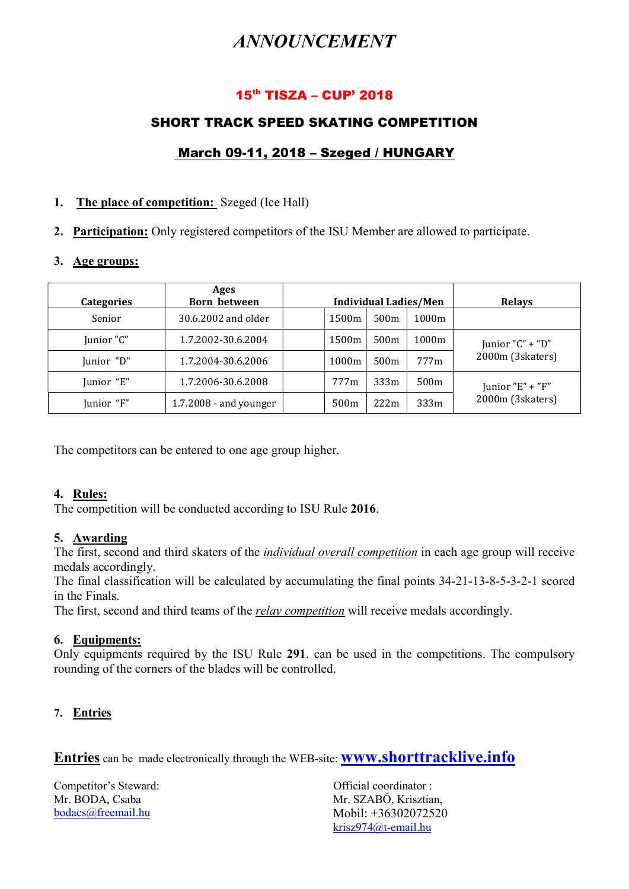# ANNOUNCEMENT

# 15th TISZA – CUP' 2018

# SHORT TRACK SPEED SKATING COMPETITION

# March 09-11, 2018 – Szeged / HUNGARY

#### 1. The place of competition: Szeged (Ice Hall)

2. Participation: Only registered competitors of the ISU Member are allowed to participate.

#### 3. Age groups:

| Categories | Ages<br><b>Born between</b> | <b>Individual Ladies/Men</b> |       |      | <b>Relays</b> |                  |
|------------|-----------------------------|------------------------------|-------|------|---------------|------------------|
| Senior     | 30.6.2002 and older         |                              | 1500m | 500m | 1000m         |                  |
| Junior "C" | 1.7.2002-30.6.2004          |                              | 1500m | 500m | 1000m         | Junior "C" + "D" |
| Junior "D" | 1.7.2004-30.6.2006          |                              | 1000m | 500m | 777m          | 2000m (3skaters) |
| Junior "E" | 1.7.2006-30.6.2008          |                              | 777m  | 333m | 500m          | Junior "E" + "F" |
| Junior "F" | $1.7.2008$ - and younger    |                              | 500m  | 222m | 333m          | 2000m (3skaters) |

The competitors can be entered to one age group higher.

#### 4. Rules:

The competition will be conducted according to ISU Rule 2016.

#### 5. Awarding

The first, second and third skaters of the *individual overall competition* in each age group will receive medals accordingly.

The final classification will be calculated by accumulating the final points 34-21-13-8-5-3-2-1 scored in the Finals.

The first, second and third teams of the *relay competition* will receive medals accordingly.

#### 6. Equipments:

Only equipments required by the ISU Rule 291. can be used in the competitions. The compulsory rounding of the corners of the blades will be controlled.

# 7. Entries

Entries can be made electronically through the WEB-site: **WWW.shorttracklive.info** 

Competitor's Steward: Competitor's Steward: Competitor's Steward: Mr. BODA, Csaba bodacs@freemail.hu

Mr. SZABÓ, Krisztian, Mobil: +36302072520 krisz974@t-email.hu